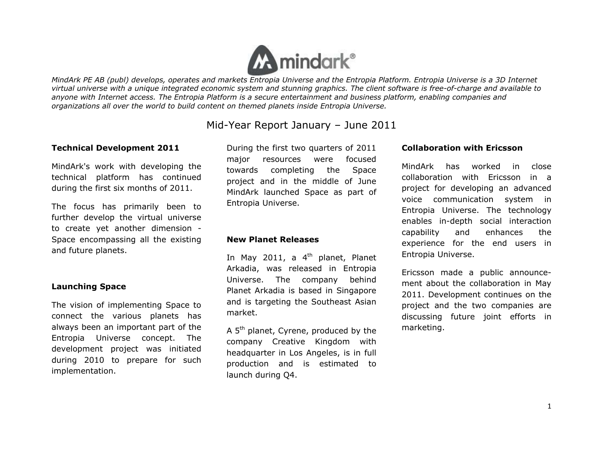

# Mid-Year Report January – June 2011

## **Technical Development 2011**

MindArk's work with developing the technical platform has continued during the first six months of 2011.

The focus has primarily been to further develop the virtual universe to create yet another dimension - Space encompassing all the existing and future planets.

## **Launching Space**

The vision of implementing Space to connect the various planets has always been an important part of the Entropia Universe concept. The development project was initiated during 2010 to prepare for such implementation.

During the first two quarters of 2011 major resources were focused towards completing the Space project and in the middle of June MindArk launched Space as part of Entropia Universe.

## **New Planet Releases**

In May 2011, a  $4<sup>th</sup>$  planet, Planet Arkadia, was released in Entropia Universe. The company behind Planet Arkadia is based in Singapore and is targeting the Southeast Asian market.

A 5<sup>th</sup> planet, Cyrene, produced by the company Creative Kingdom with headquarter in Los Angeles, is in full production and is estimated to launch during Q4.

#### **Collaboration with Ericsson**

MindArk has worked in close collaboration with Ericsson in a project for developing an advanced voice communication system in Entropia Universe. The technology enables in-depth social interaction capability and enhances the experience for the end users in Entropia Universe.

Ericsson made a public announcement about the collaboration in May 2011. Development continues on the project and the two companies are discussing future joint efforts in marketing.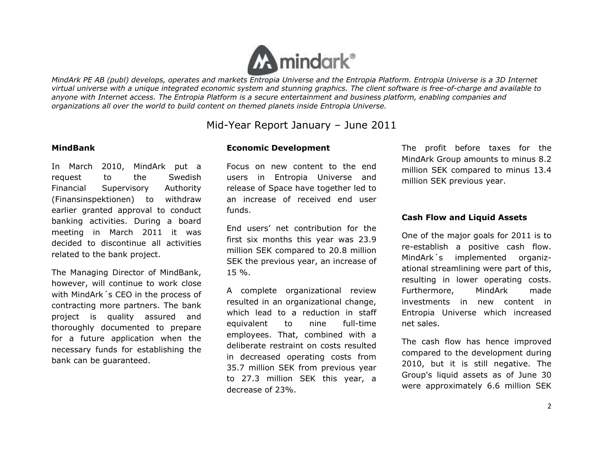

# Mid-Year Report January – June 2011

#### **MindBank**

In March 2010, MindArk put a request to the Swedish Financial Supervisory Authority (Finansinspektionen) to withdraw earlier granted approval to conduct banking activities. During a board meeting in March 2011 it was decided to discontinue all activities related to the bank project.

The Managing Director of MindBank, however, will continue to work close with MindArk´s CEO in the process of contracting more partners. The bank project is quality assured and thoroughly documented to prepare for a future application when the necessary funds for establishing the bank can be guaranteed.

#### **Economic Development**

Focus on new content to the end users in Entropia Universe and release of Space have together led to an increase of received end user funds.

End users' net contribution for the first six months this year was 23.9 million SEK compared to 20.8 million SEK the previous year, an increase of 15 %.

A complete organizational review resulted in an organizational change, which lead to a reduction in staff equivalent to nine full-time employees. That, combined with a deliberate restraint on costs resulted in decreased operating costs from 35.7 million SEK from previous year to 27.3 million SEK this year, a decrease of 23%.

The profit before taxes for the MindArk Group amounts to minus 8.2 million SEK compared to minus 13.4 million SEK previous year.

#### **Cash Flow and Liquid Assets**

One of the major goals for 2011 is to re-establish a positive cash flow. MindArk´s implemented organizational streamlining were part of this, resulting in lower operating costs. Furthermore, MindArk made investments in new content in Entropia Universe which increased net sales.

The cash flow has hence improved compared to the development during 2010, but it is still negative. The Group's liquid assets as of June 30 were approximately 6.6 million SEK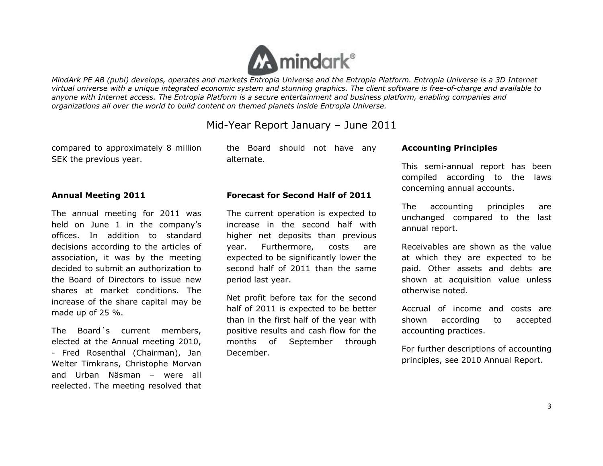

# Mid-Year Report January – June 2011

compared to approximately 8 million SEK the previous year.

the Board should not have any alternate.

# **Annual Meeting 2011**

The annual meeting for 2011 was held on June 1 in the company's offices. In addition to standard decisions according to the articles of association, it was by the meeting decided to submit an authorization to the Board of Directors to issue new shares at market conditions. The increase of the share capital may be made up of 25 %.

The Board´s current members, elected at the Annual meeting 2010, - Fred Rosenthal (Chairman), Jan Welter Timkrans, Christophe Morvan and Urban Näsman – were all reelected. The meeting resolved that

## **Forecast for Second Half of 2011**

The current operation is expected to increase in the second half with higher net deposits than previous year. Furthermore, costs are expected to be significantly lower the second half of 2011 than the same period last year.

Net profit before tax for the second half of 2011 is expected to be better than in the first half of the year with positive results and cash flow for the months of September through December.

#### **Accounting Principles**

This semi-annual report has been compiled according to the laws concerning annual accounts.

The accounting principles are unchanged compared to the last annual report.

Receivables are shown as the value at which they are expected to be paid. Other assets and debts are shown at acquisition value unless otherwise noted.

Accrual of income and costs are shown according to accepted accounting practices.

For further descriptions of accounting principles, see 2010 Annual Report.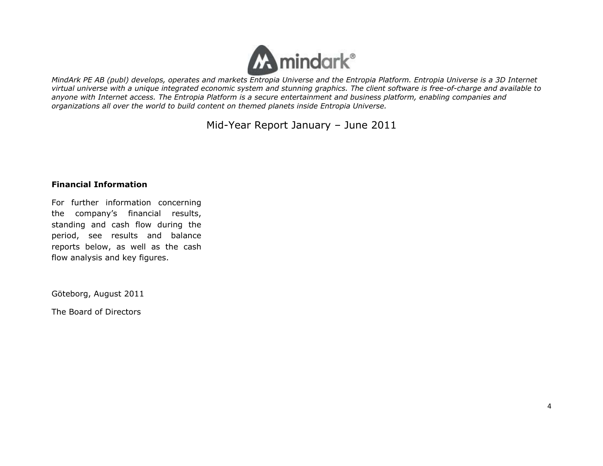

Mid-Year Report January – June 2011

## **Financial Information**

For further information concerning the company's financial results, standing and cash flow during the period, see results and balance reports below, as well as the cash flow analysis and key figures.

Göteborg, August 2011

The Board of Directors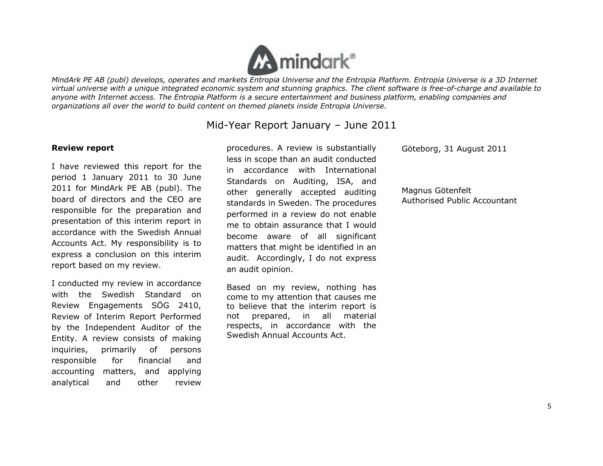

# Mid-Year Report January – June 2011

#### **Review report**

I have reviewed this report for the period 1 January 2011 to 30 June 2011 for MindArk PE AB (publ). The board of directors and the CEO are responsible for the preparation and presentation of this interim report in accordance with the Swedish Annual Accounts Act. My responsibility is to express a conclusion on this interim report based on my review.

I conducted my review in accordance with the Swedish Standard on Review Engagements SÖG 2410, Review of Interim Report Performed by the Independent Auditor of the Entity. A review consists of making inquiries, primarily of persons responsible for financial and accounting matters, and applying analytical and other review

procedures. A review is substantially less in scope than an audit conducted in accordance with International Standards on Auditing, ISA, and other generally accepted auditing standards in Sweden. The procedures performed in a review do not enable me to obtain assurance that I would become aware of all significant matters that might be identified in an audit. Accordingly, I do not express an audit opinion.

Based on my review, nothing has come to my attention that causes me to believe that the interim report is not prepared, in all material respects, in accordance with the Swedish Annual Accounts Act.

Göteborg, 31 August 2011

Magnus Götenfelt Authorised Public Accountant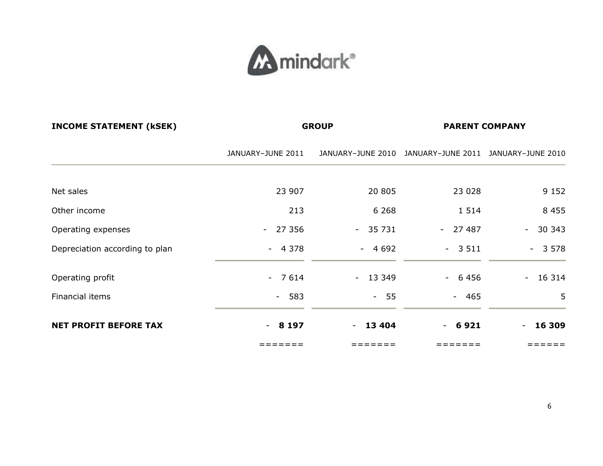

| <b>INCOME STATEMENT (KSEK)</b> | <b>GROUP</b>         |          | <b>PARENT COMPANY</b>                                 |                                           |
|--------------------------------|----------------------|----------|-------------------------------------------------------|-------------------------------------------|
|                                | JANUARY-JUNE 2011    |          | JANUARY-JUNE 2010 JANUARY-JUNE 2011 JANUARY-JUNE 2010 |                                           |
| Net sales                      | 23 907               | 20 805   | 23 0 28                                               | 9 1 5 2                                   |
| Other income                   | 213                  | 6 2 6 8  | 1 5 1 4                                               | 8 4 5 5                                   |
| Operating expenses             | 27 356<br>$\sim$ $-$ | $-35731$ | $-27487$                                              | 30 343<br>$\omega_{\rm{max}}$             |
| Depreciation according to plan | $-4378$              | $-4692$  | $-3511$                                               | $-3578$                                   |
| Operating profit               | $-7614$              | $-13349$ | $-6456$                                               | 16 314<br>$\frac{1}{2}$ and $\frac{1}{2}$ |
| Financial items                | $-583$               | $-55$    | $-465$                                                | 5                                         |
| <b>NET PROFIT BEFORE TAX</b>   | 8 197<br>$\sim$      | $-13404$ | 6921<br>$\sim$                                        | 16 309<br>$\sim$                          |
|                                | ======               | ======   | ======                                                | =====                                     |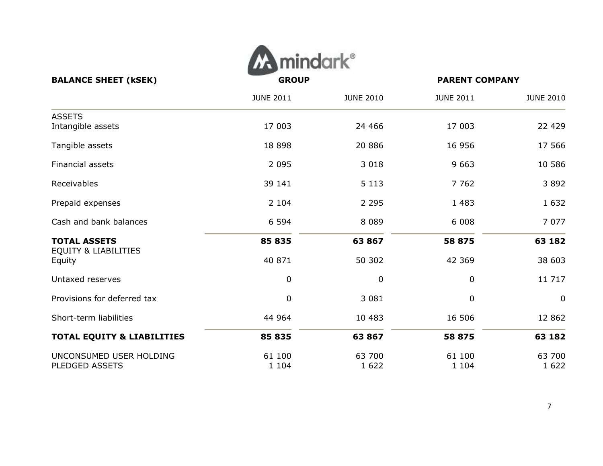

|                                           | <b>JUNE 2011</b> | <b>JUNE 2010</b> | <b>JUNE 2011</b> | <b>JUNE 2010</b> |
|-------------------------------------------|------------------|------------------|------------------|------------------|
| <b>ASSETS</b>                             |                  |                  |                  |                  |
| Intangible assets                         | 17 003           | 24 4 6 6         | 17 003           | 22 4 29          |
| Tangible assets                           | 18 8 98          | 20 886           | 16 956           | 17 566           |
| Financial assets                          | 2 0 9 5          | 3 0 18           | 9 6 63           | 10 586           |
| Receivables                               | 39 141           | 5 1 1 3          | 7 7 6 2          | 3892             |
| Prepaid expenses                          | 2 1 0 4          | 2 2 9 5          | 1 4 8 3          | 1 6 3 2          |
| Cash and bank balances                    | 6 5 9 4          | 8 0 8 9          | 6 0 0 8          | 7 0 7 7          |
| <b>TOTAL ASSETS</b>                       | 85 835           | 63867            | 58 875           | 63 182           |
| <b>EQUITY &amp; LIABILITIES</b><br>Equity | 40 871           | 50 302           | 42 3 69          | 38 603           |
| Untaxed reserves                          | $\pmb{0}$        | 0                | 0                | 11 717           |
| Provisions for deferred tax               | $\pmb{0}$        | 3 0 8 1          | $\mathbf 0$      | $\mathbf 0$      |
| Short-term liabilities                    | 44 964           | 10 483           | 16 506           | 12 862           |
| <b>TOTAL EQUITY &amp; LIABILITIES</b>     | 85 835           | 63 867           | 58 875           | 63 182           |
| UNCONSUMED USER HOLDING                   | 61 100           | 63 700           | 61 100           | 63 700           |
| <b>PLEDGED ASSETS</b>                     | 1 1 0 4          | 1 6 2 2          | 1 1 0 4          | 1 6 2 2          |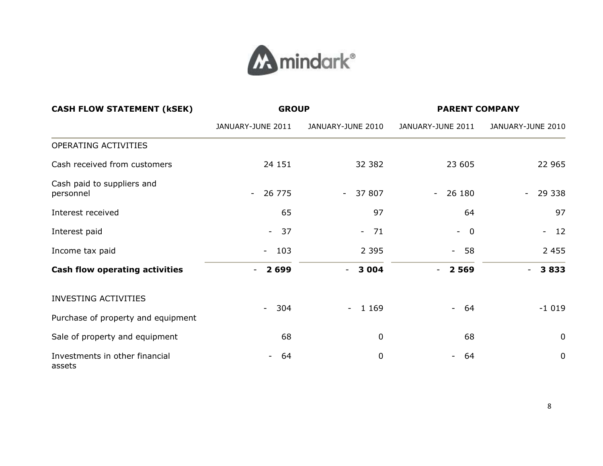

| <b>CASH FLOW STATEMENT (KSEK)</b>        | <b>GROUP</b>                    |                     | <b>PARENT COMPANY</b>              |                      |
|------------------------------------------|---------------------------------|---------------------|------------------------------------|----------------------|
|                                          | JANUARY-JUNE 2011               | JANUARY-JUNE 2010   | JANUARY-JUNE 2011                  | JANUARY-JUNE 2010    |
| OPERATING ACTIVITIES                     |                                 |                     |                                    |                      |
| Cash received from customers             | 24 151                          | 32 382              | 23 605                             | 22 965               |
| Cash paid to suppliers and<br>personnel  | 26 775<br>$\sim$                | $-37807$            | 26 180<br>$\overline{\phantom{a}}$ | 29 338<br>$\equiv$   |
| Interest received                        | 65                              | 97                  | 64                                 | 97                   |
| Interest paid                            | 37<br>$\sim$ $-$                | 71<br>$\equiv$      | $\overline{0}$<br>$\sim$           | 12<br>$\blacksquare$ |
| Income tax paid                          | 103<br>$\sim$                   | 2 3 9 5             | $-58$                              | 2 4 5 5              |
| <b>Cash flow operating activities</b>    | 2 6 9 9<br>$\blacksquare$       | 3 0 0 4<br>$\sim$   | 2 5 6 9                            | 3833                 |
| <b>INVESTING ACTIVITIES</b>              |                                 |                     |                                    |                      |
| Purchase of property and equipment       | 304<br>$\overline{\phantom{0}}$ | 1 1 6 9<br>$\sim$ . | 64<br>$\sim$ $-$                   | $-1019$              |
| Sale of property and equipment           | 68                              | 0                   | 68                                 | $\mathbf 0$          |
| Investments in other financial<br>assets | 64                              | 0                   | 64                                 | $\mathbf 0$          |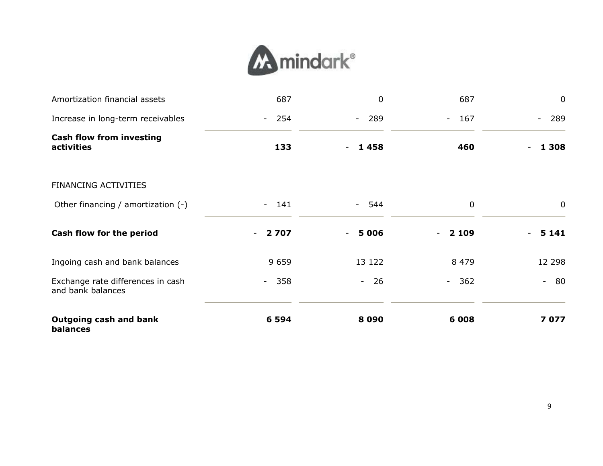

| Amortization financial assets                          | 687                                 | $\mathbf{0}$          | 687         | $\mathbf 0$            |
|--------------------------------------------------------|-------------------------------------|-----------------------|-------------|------------------------|
| Increase in long-term receivables                      | 254<br>$\sim$                       | $-289$                | $-167$      | 289<br>$\blacksquare$  |
| <b>Cash flow from investing</b><br>activities          | 133                                 | 1458<br>$\sim$ $-$    | 460         | 1 3 0 8                |
| <b>FINANCING ACTIVITIES</b>                            |                                     |                       |             |                        |
| Other financing / amortization (-)                     | $-141$                              | - 544                 | $\mathbf 0$ | $\mathbf 0$            |
| Cash flow for the period                               | 2 7 0 7<br>$\overline{\phantom{a}}$ | 5 0 0 6<br>$\sim$ $-$ | 2 1 0 9     | 5 1 4 1                |
| Ingoing cash and bank balances                         | 9 6 5 9                             | 13 122                | 8 4 7 9     | 12 298                 |
| Exchange rate differences in cash<br>and bank balances | 358<br>$\sim$                       | $\pm$ .<br>26         | $-362$      | - 80<br>$\blacksquare$ |
| <b>Outgoing cash and bank</b><br>balances              | 6 5 9 4                             | 8090                  | 6 0 0 8     | 7077                   |